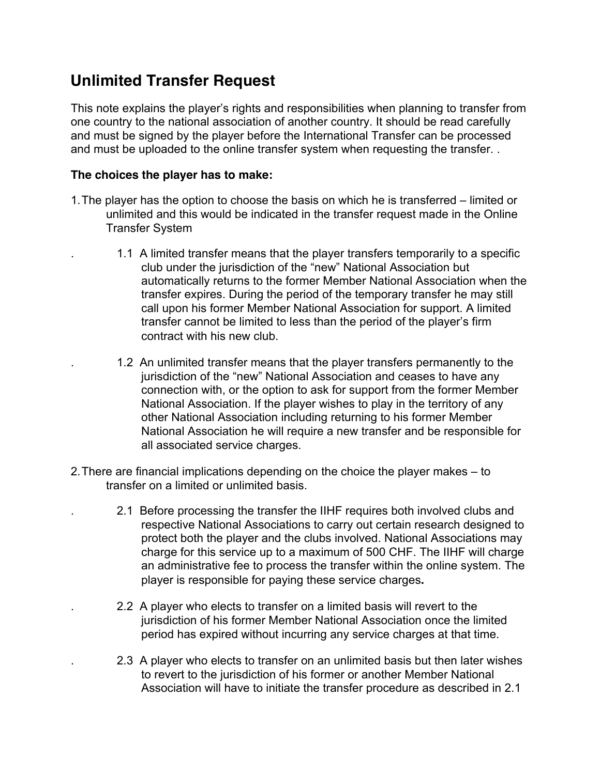## **Unlimited Transfer Request**

This note explains the player's rights and responsibilities when planning to transfer from one country to the national association of another country. It should be read carefully and must be signed by the player before the International Transfer can be processed and must be uploaded to the online transfer system when requesting the transfer. .

## **The choices the player has to make:**

- 1.The player has the option to choose the basis on which he is transferred limited or unlimited and this would be indicated in the transfer request made in the Online Transfer System
	- . 1.1 A limited transfer means that the player transfers temporarily to a specific club under the jurisdiction of the "new" National Association but automatically returns to the former Member National Association when the transfer expires. During the period of the temporary transfer he may still call upon his former Member National Association for support. A limited transfer cannot be limited to less than the period of the player's firm contract with his new club.
	- . 1.2 An unlimited transfer means that the player transfers permanently to the jurisdiction of the "new" National Association and ceases to have any connection with, or the option to ask for support from the former Member National Association. If the player wishes to play in the territory of any other National Association including returning to his former Member National Association he will require a new transfer and be responsible for all associated service charges.
- 2.There are financial implications depending on the choice the player makes to transfer on a limited or unlimited basis.
	- . 2.1 Before processing the transfer the IIHF requires both involved clubs and respective National Associations to carry out certain research designed to protect both the player and the clubs involved. National Associations may charge for this service up to a maximum of 500 CHF. The IIHF will charge an administrative fee to process the transfer within the online system. The player is responsible for paying these service charges**.**
	- . 2.2 A player who elects to transfer on a limited basis will revert to the jurisdiction of his former Member National Association once the limited period has expired without incurring any service charges at that time.
	- . 2.3 A player who elects to transfer on an unlimited basis but then later wishes to revert to the jurisdiction of his former or another Member National Association will have to initiate the transfer procedure as described in 2.1